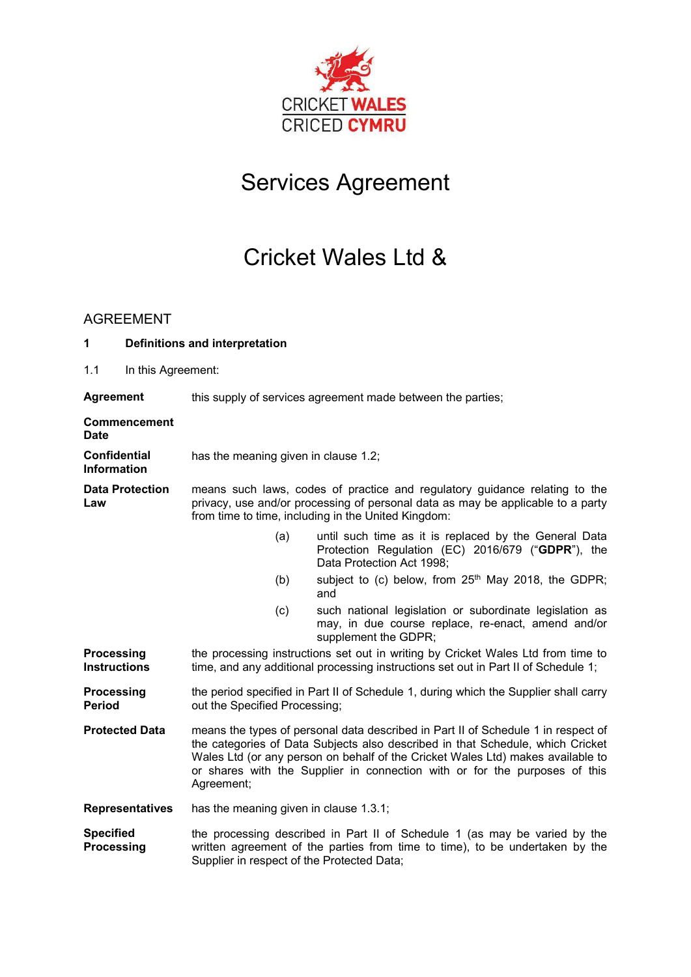

# Services Agreement

# Cricket Wales Ltd &

### AGREEMENT

| 1                                         | <b>Definitions and interpretation</b> |                                            |                                                                                                                                                                                                                                                                                                                                      |
|-------------------------------------------|---------------------------------------|--------------------------------------------|--------------------------------------------------------------------------------------------------------------------------------------------------------------------------------------------------------------------------------------------------------------------------------------------------------------------------------------|
| 1.1                                       | In this Agreement:                    |                                            |                                                                                                                                                                                                                                                                                                                                      |
| <b>Agreement</b>                          |                                       |                                            | this supply of services agreement made between the parties;                                                                                                                                                                                                                                                                          |
| <b>Date</b>                               | <b>Commencement</b>                   |                                            |                                                                                                                                                                                                                                                                                                                                      |
| <b>Confidential</b><br><b>Information</b> |                                       | has the meaning given in clause 1.2;       |                                                                                                                                                                                                                                                                                                                                      |
| Law                                       | <b>Data Protection</b>                |                                            | means such laws, codes of practice and regulatory guidance relating to the<br>privacy, use and/or processing of personal data as may be applicable to a party<br>from time to time, including in the United Kingdom:                                                                                                                 |
|                                           |                                       | (a)                                        | until such time as it is replaced by the General Data<br>Protection Regulation (EC) 2016/679 ("GDPR"), the<br>Data Protection Act 1998;                                                                                                                                                                                              |
|                                           |                                       | (b)                                        | subject to (c) below, from 25 <sup>th</sup> May 2018, the GDPR;<br>and                                                                                                                                                                                                                                                               |
|                                           |                                       | (c)                                        | such national legislation or subordinate legislation as<br>may, in due course replace, re-enact, amend and/or<br>supplement the GDPR;                                                                                                                                                                                                |
| <b>Processing</b><br><b>Instructions</b>  |                                       |                                            | the processing instructions set out in writing by Cricket Wales Ltd from time to<br>time, and any additional processing instructions set out in Part II of Schedule 1;                                                                                                                                                               |
| Processing<br><b>Period</b>               |                                       | out the Specified Processing;              | the period specified in Part II of Schedule 1, during which the Supplier shall carry                                                                                                                                                                                                                                                 |
|                                           | <b>Protected Data</b>                 | Agreement;                                 | means the types of personal data described in Part II of Schedule 1 in respect of<br>the categories of Data Subjects also described in that Schedule, which Cricket<br>Wales Ltd (or any person on behalf of the Cricket Wales Ltd) makes available to<br>or shares with the Supplier in connection with or for the purposes of this |
|                                           | <b>Representatives</b>                | has the meaning given in clause 1.3.1;     |                                                                                                                                                                                                                                                                                                                                      |
| <b>Specified</b><br><b>Processing</b>     |                                       | Supplier in respect of the Protected Data; | the processing described in Part II of Schedule 1 (as may be varied by the<br>written agreement of the parties from time to time), to be undertaken by the                                                                                                                                                                           |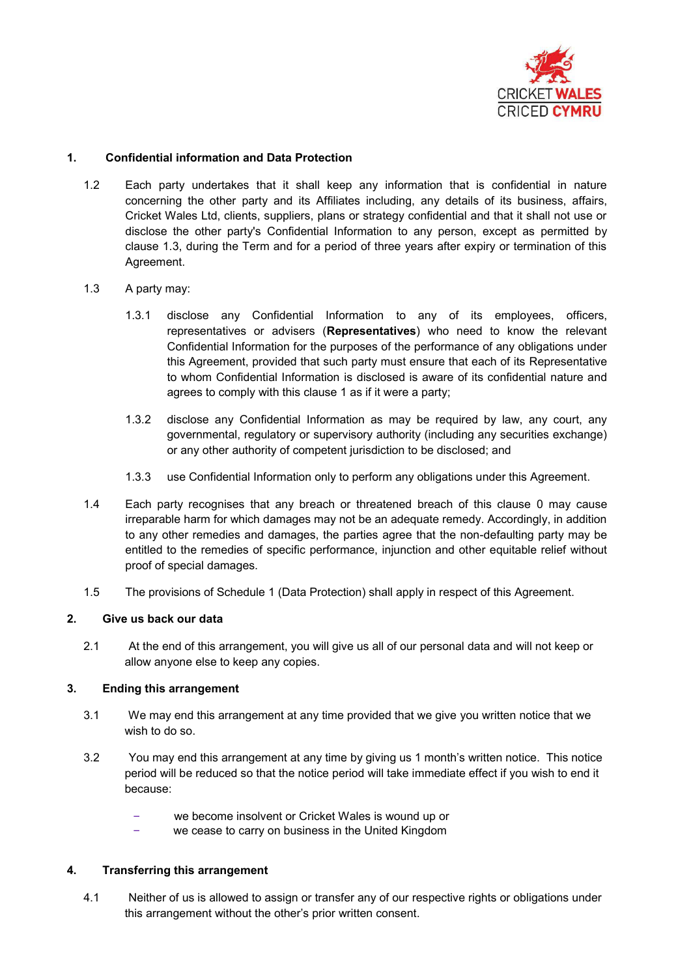

#### **1. Confidential information and Data Protection**

1.2 Each party undertakes that it shall keep any information that is confidential in nature concerning the other party and its Affiliates including, any details of its business, affairs, Cricket Wales Ltd, clients, suppliers, plans or strategy confidential and that it shall not use or disclose the other party's Confidential Information to any person, except as permitted by clause 1.3, during the Term and for a period of three years after expiry or termination of this Agreement.

#### 1.3 A party may:

- 1.3.1 disclose any Confidential Information to any of its employees, officers, representatives or advisers (**Representatives**) who need to know the relevant Confidential Information for the purposes of the performance of any obligations under this Agreement, provided that such party must ensure that each of its Representative to whom Confidential Information is disclosed is aware of its confidential nature and agrees to comply with this clause 1 as if it were a party;
- 1.3.2 disclose any Confidential Information as may be required by law, any court, any governmental, regulatory or supervisory authority (including any securities exchange) or any other authority of competent jurisdiction to be disclosed; and
- 1.3.3 use Confidential Information only to perform any obligations under this Agreement.
- 1.4 Each party recognises that any breach or threatened breach of this clause 0 may cause irreparable harm for which damages may not be an adequate remedy. Accordingly, in addition to any other remedies and damages, the parties agree that the non-defaulting party may be entitled to the remedies of specific performance, injunction and other equitable relief without proof of special damages.
- 1.5 The provisions of Schedule 1 (Data Protection) shall apply in respect of this Agreement.

#### **2. Give us back our data**

2.1 At the end of this arrangement, you will give us all of our personal data and will not keep or allow anyone else to keep any copies.

#### **3. Ending this arrangement**

- 3.1 We may end this arrangement at any time provided that we give you written notice that we wish to do so.
- 3.2 You may end this arrangement at any time by giving us 1 month's written notice. This notice period will be reduced so that the notice period will take immediate effect if you wish to end it because:
	- we become insolvent or Cricket Wales is wound up or
	- we cease to carry on business in the United Kingdom

#### **4. Transferring this arrangement**

4.1 Neither of us is allowed to assign or transfer any of our respective rights or obligations under this arrangement without the other's prior written consent.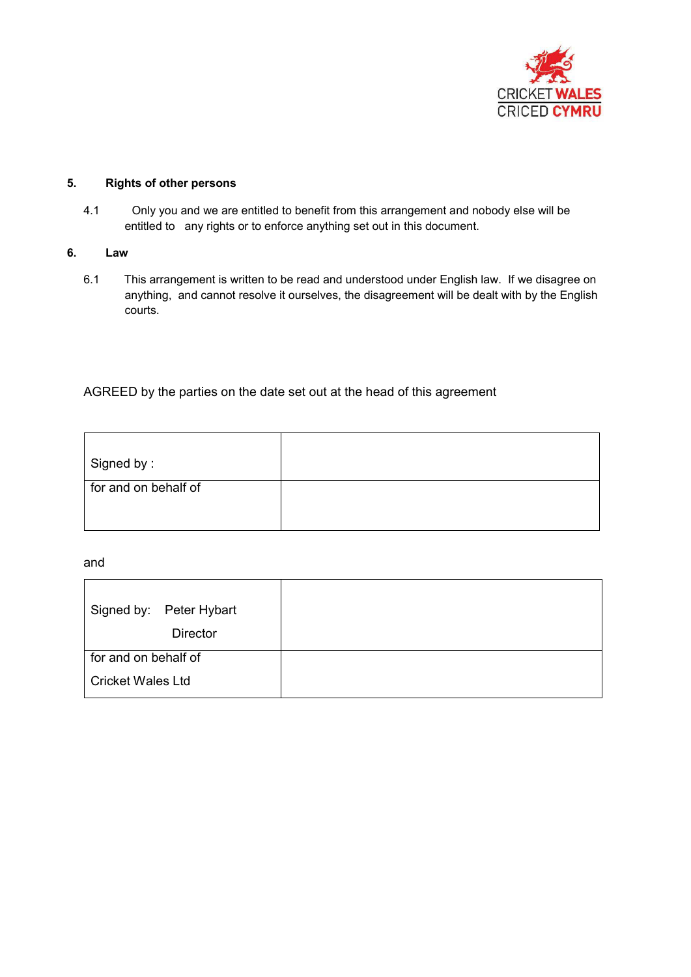

#### **5. Rights of other persons**

4.1 Only you and we are entitled to benefit from this arrangement and nobody else will be entitled to any rights or to enforce anything set out in this document.

#### **6. Law**

6.1 This arrangement is written to be read and understood under English law. If we disagree on anything, and cannot resolve it ourselves, the disagreement will be dealt with by the English courts.

### AGREED by the parties on the date set out at the head of this agreement

| Signed by:           |  |
|----------------------|--|
| for and on behalf of |  |
|                      |  |
|                      |  |

#### and

| Signed by: Peter Hybart  |  |
|--------------------------|--|
| <b>Director</b>          |  |
| for and on behalf of     |  |
| <b>Cricket Wales Ltd</b> |  |
|                          |  |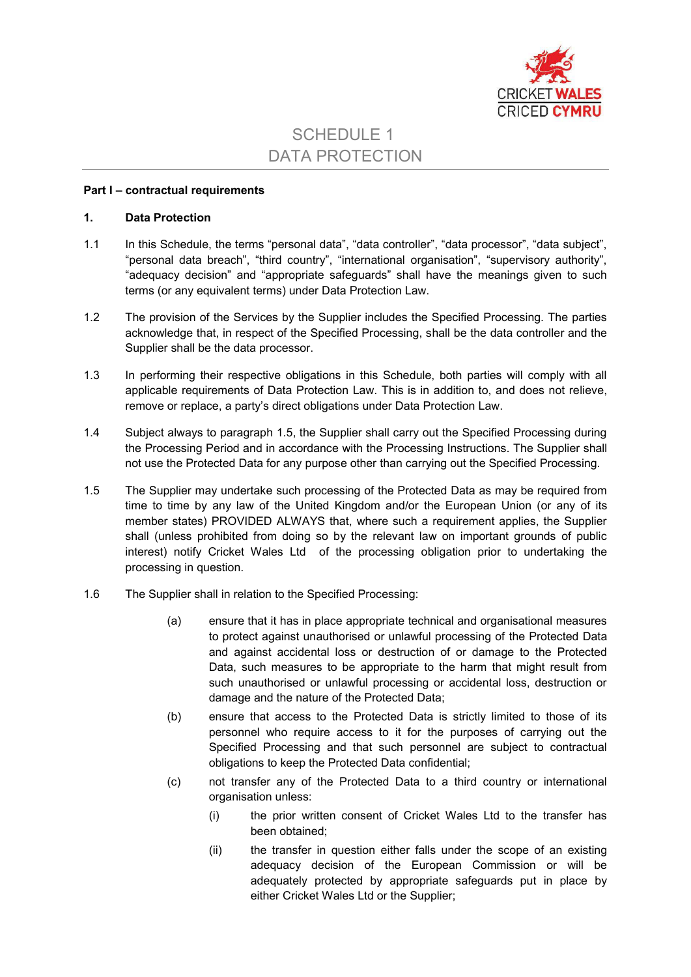

## SCHEDULE 1 DATA PROTECTION

#### **Part I – contractual requirements**

#### **1. Data Protection**

- 1.1 In this Schedule, the terms "personal data", "data controller", "data processor", "data subject", "personal data breach", "third country", "international organisation", "supervisory authority", "adequacy decision" and "appropriate safeguards" shall have the meanings given to such terms (or any equivalent terms) under Data Protection Law.
- 1.2 The provision of the Services by the Supplier includes the Specified Processing. The parties acknowledge that, in respect of the Specified Processing, shall be the data controller and the Supplier shall be the data processor.
- 1.3 In performing their respective obligations in this Schedule, both parties will comply with all applicable requirements of Data Protection Law. This is in addition to, and does not relieve, remove or replace, a party's direct obligations under Data Protection Law.
- 1.4 Subject always to paragraph 1.5, the Supplier shall carry out the Specified Processing during the Processing Period and in accordance with the Processing Instructions. The Supplier shall not use the Protected Data for any purpose other than carrying out the Specified Processing.
- 1.5 The Supplier may undertake such processing of the Protected Data as may be required from time to time by any law of the United Kingdom and/or the European Union (or any of its member states) PROVIDED ALWAYS that, where such a requirement applies, the Supplier shall (unless prohibited from doing so by the relevant law on important grounds of public interest) notify Cricket Wales Ltd of the processing obligation prior to undertaking the processing in question.
- 1.6 The Supplier shall in relation to the Specified Processing:
	- (a) ensure that it has in place appropriate technical and organisational measures to protect against unauthorised or unlawful processing of the Protected Data and against accidental loss or destruction of or damage to the Protected Data, such measures to be appropriate to the harm that might result from such unauthorised or unlawful processing or accidental loss, destruction or damage and the nature of the Protected Data;
	- (b) ensure that access to the Protected Data is strictly limited to those of its personnel who require access to it for the purposes of carrying out the Specified Processing and that such personnel are subject to contractual obligations to keep the Protected Data confidential;
	- (c) not transfer any of the Protected Data to a third country or international organisation unless:
		- (i) the prior written consent of Cricket Wales Ltd to the transfer has been obtained;
		- (ii) the transfer in question either falls under the scope of an existing adequacy decision of the European Commission or will be adequately protected by appropriate safeguards put in place by either Cricket Wales Ltd or the Supplier;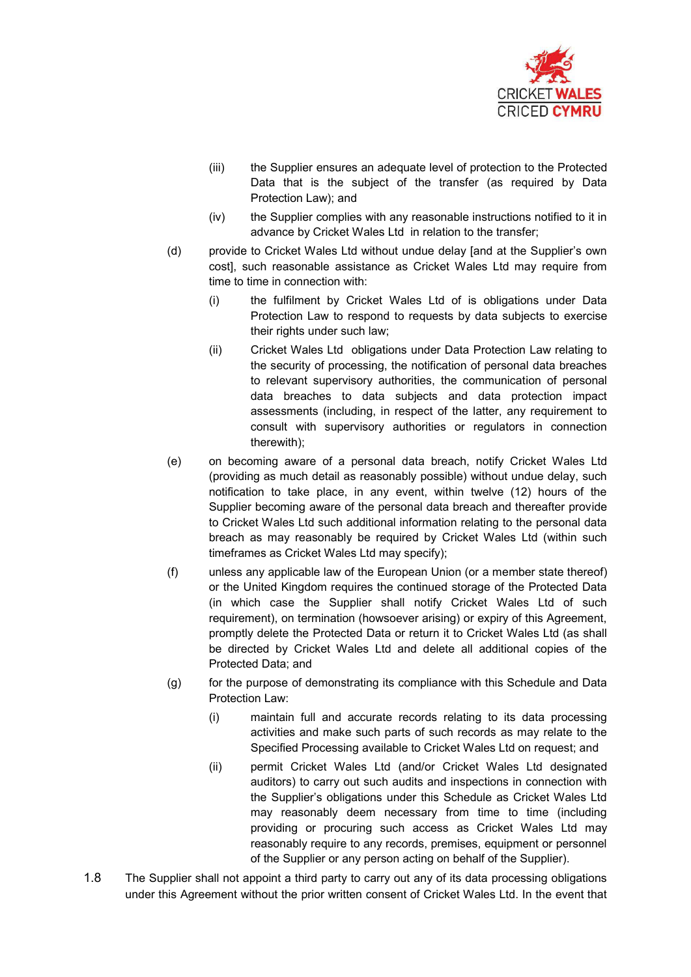

- (iii) the Supplier ensures an adequate level of protection to the Protected Data that is the subject of the transfer (as required by Data Protection Law); and
- (iv) the Supplier complies with any reasonable instructions notified to it in advance by Cricket Wales Ltd in relation to the transfer;
- (d) provide to Cricket Wales Ltd without undue delay [and at the Supplier's own cost], such reasonable assistance as Cricket Wales Ltd may require from time to time in connection with:
	- (i) the fulfilment by Cricket Wales Ltd of is obligations under Data Protection Law to respond to requests by data subjects to exercise their rights under such law;
	- (ii) Cricket Wales Ltd obligations under Data Protection Law relating to the security of processing, the notification of personal data breaches to relevant supervisory authorities, the communication of personal data breaches to data subjects and data protection impact assessments (including, in respect of the latter, any requirement to consult with supervisory authorities or regulators in connection therewith);
- (e) on becoming aware of a personal data breach, notify Cricket Wales Ltd (providing as much detail as reasonably possible) without undue delay, such notification to take place, in any event, within twelve (12) hours of the Supplier becoming aware of the personal data breach and thereafter provide to Cricket Wales Ltd such additional information relating to the personal data breach as may reasonably be required by Cricket Wales Ltd (within such timeframes as Cricket Wales Ltd may specify);
- (f) unless any applicable law of the European Union (or a member state thereof) or the United Kingdom requires the continued storage of the Protected Data (in which case the Supplier shall notify Cricket Wales Ltd of such requirement), on termination (howsoever arising) or expiry of this Agreement, promptly delete the Protected Data or return it to Cricket Wales Ltd (as shall be directed by Cricket Wales Ltd and delete all additional copies of the Protected Data; and
- (g) for the purpose of demonstrating its compliance with this Schedule and Data Protection Law:
	- (i) maintain full and accurate records relating to its data processing activities and make such parts of such records as may relate to the Specified Processing available to Cricket Wales Ltd on request; and
	- (ii) permit Cricket Wales Ltd (and/or Cricket Wales Ltd designated auditors) to carry out such audits and inspections in connection with the Supplier's obligations under this Schedule as Cricket Wales Ltd may reasonably deem necessary from time to time (including providing or procuring such access as Cricket Wales Ltd may reasonably require to any records, premises, equipment or personnel of the Supplier or any person acting on behalf of the Supplier).
- 1.8 The Supplier shall not appoint a third party to carry out any of its data processing obligations under this Agreement without the prior written consent of Cricket Wales Ltd. In the event that